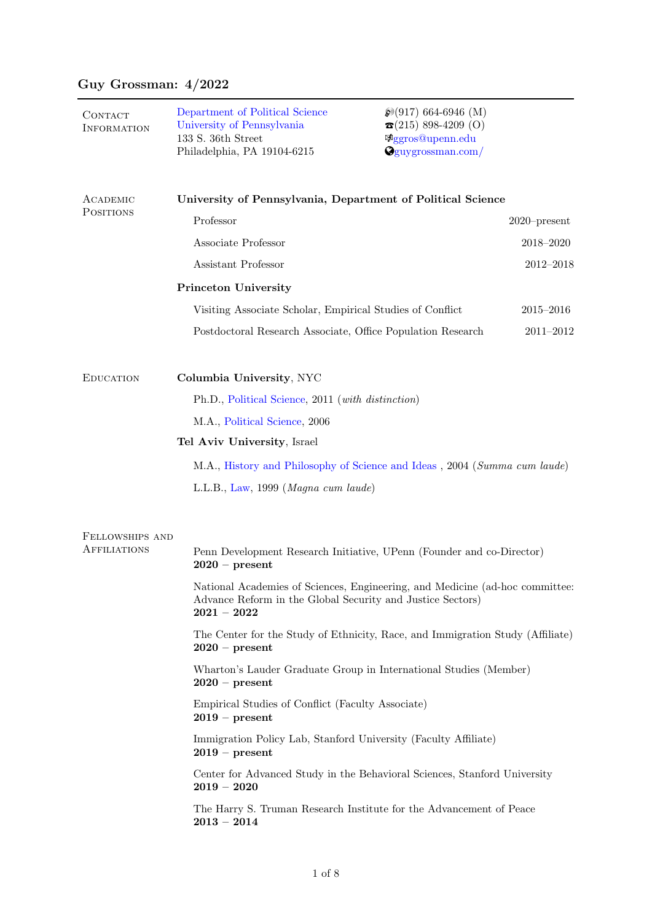# Guy Grossman: 4/2022

| CONTACT<br><b>INFORMATION</b> | Department of Political Science<br>University of Pennsylvania<br>133 S. 36th Street<br>Philadelphia, PA 19104-6215                                        | $\mathcal{D}(917)$ 664-6946 (M)<br>$\mathbf{\Omega}(215)$ 898-4209 (O)<br><b><i>Aggros@upenn.edu</i></b><br>$Q$ guygrossman.com/ |                 |  |
|-------------------------------|-----------------------------------------------------------------------------------------------------------------------------------------------------------|----------------------------------------------------------------------------------------------------------------------------------|-----------------|--|
| ACADEMIC<br><b>POSITIONS</b>  | University of Pennsylvania, Department of Political Science                                                                                               |                                                                                                                                  |                 |  |
|                               | Professor                                                                                                                                                 |                                                                                                                                  | $2020$ -present |  |
|                               | Associate Professor                                                                                                                                       |                                                                                                                                  | 2018-2020       |  |
|                               | Assistant Professor                                                                                                                                       |                                                                                                                                  | $2012 - 2018$   |  |
|                               | Princeton University                                                                                                                                      |                                                                                                                                  |                 |  |
|                               | Visiting Associate Scholar, Empirical Studies of Conflict                                                                                                 |                                                                                                                                  | $2015 - 2016$   |  |
|                               | Postdoctoral Research Associate, Office Population Research                                                                                               |                                                                                                                                  | $2011 - 2012$   |  |
| <b>EDUCATION</b>              | Columbia University, NYC                                                                                                                                  |                                                                                                                                  |                 |  |
|                               | Ph.D., Political Science, 2011 (with distinction)                                                                                                         |                                                                                                                                  |                 |  |
|                               | M.A., Political Science, 2006                                                                                                                             |                                                                                                                                  |                 |  |
|                               | Tel Aviv University, Israel                                                                                                                               |                                                                                                                                  |                 |  |
|                               | M.A., History and Philosophy of Science and Ideas, 2004 (Summa cum laude)                                                                                 |                                                                                                                                  |                 |  |
|                               | L.L.B., Law, 1999 (Magna cum laude)                                                                                                                       |                                                                                                                                  |                 |  |
| FELLOWSHIPS AND               |                                                                                                                                                           |                                                                                                                                  |                 |  |
| <b>AFFILIATIONS</b>           | Penn Development Research Initiative, UPenn (Founder and co-Director)<br>$2020 - present$                                                                 |                                                                                                                                  |                 |  |
|                               | National Academies of Sciences, Engineering, and Medicine (ad-hoc committee:<br>Advance Reform in the Global Security and Justice Sectors)<br>$2021-2022$ |                                                                                                                                  |                 |  |
|                               | The Center for the Study of Ethnicity, Race, and Immigration Study (Affiliate)<br>$2020 - present$                                                        |                                                                                                                                  |                 |  |
|                               | Wharton's Lauder Graduate Group in International Studies (Member)<br>$2020 - present$                                                                     |                                                                                                                                  |                 |  |
|                               | Empirical Studies of Conflict (Faculty Associate)<br>$2019 - present$                                                                                     |                                                                                                                                  |                 |  |
|                               | Immigration Policy Lab, Stanford University (Faculty Affiliate)<br>$2019$ – present                                                                       |                                                                                                                                  |                 |  |
|                               | Center for Advanced Study in the Behavioral Sciences, Stanford University<br>$2019 - 2020$                                                                |                                                                                                                                  |                 |  |
|                               | The Harry S. Truman Research Institute for the Advancement of Peace<br>$2013 - 2014$                                                                      |                                                                                                                                  |                 |  |
|                               |                                                                                                                                                           |                                                                                                                                  |                 |  |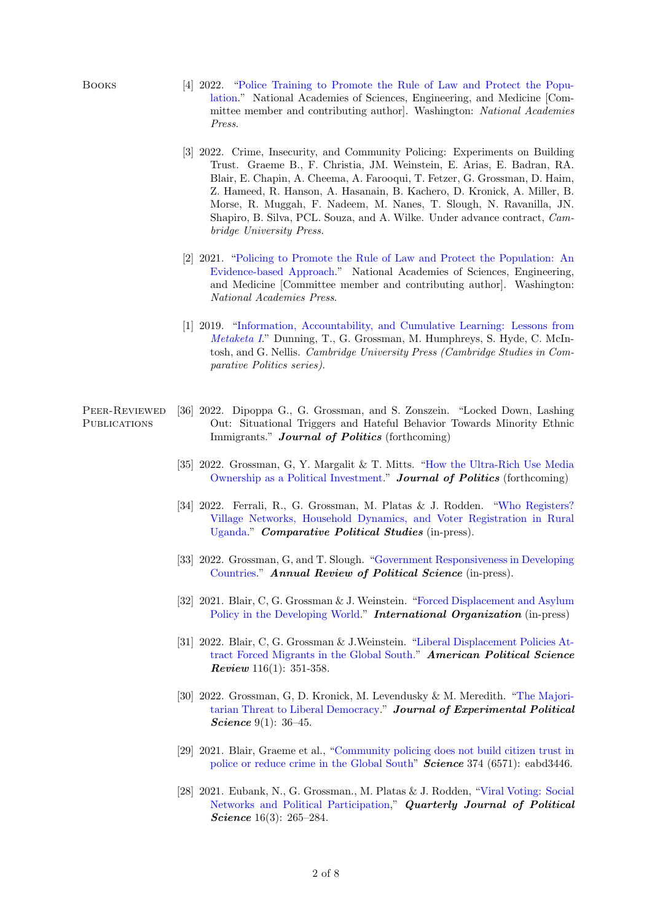- Books [4] 2022. ["Police Training to Promote the Rule of Law and Protect the Popu](https://bit.ly/3K3XeEh)[lation.](https://bit.ly/3K3XeEh)" National Academies of Sciences, Engineering, and Medicine [Committee member and contributing author]. Washington: National Academies Press.
	- [3] 2022. Crime, Insecurity, and Community Policing: Experiments on Building Trust. Graeme B., F. Christia, JM. Weinstein, E. Arias, E. Badran, RA. Blair, E. Chapin, A. Cheema, A. Farooqui, T. Fetzer, G. Grossman, D. Haim, Z. Hameed, R. Hanson, A. Hasanain, B. Kachero, D. Kronick, A. Miller, B. Morse, R. Muggah, F. Nadeem, M. Nanes, T. Slough, N. Ravanilla, JN. Shapiro, B. Silva, PCL. Souza, and A. Wilke. Under advance contract, Cambridge University Press.
	- [2] 2021. ["Policing to Promote the Rule of Law and Protect the Population: An](https://bit.ly/3FXuX0W) [Evidence-based Approach.](https://bit.ly/3FXuX0W)" National Academies of Sciences, Engineering, and Medicine [Committee member and contributing author]. Washington: National Academies Press.
	- [1] 2019. ["Information, Accountability, and Cumulative Learning: Lessons from](https://bit.ly/2FcrhKE) [Metaketa I](https://bit.ly/2FcrhKE)." Dunning, T., G. Grossman, M. Humphreys, S. Hyde, C. McIntosh, and G. Nellis. Cambridge University Press (Cambridge Studies in Comparative Politics series).

## Peer-Reviewed **PUBLICATIONS**

- [36] 2022. Dipoppa G., G. Grossman, and S. Zonszein. "Locked Down, Lashing Out: Situational Triggers and Hateful Behavior Towards Minority Ethnic Immigrants." Journal of Politics (forthcoming)
- [35] 2022. Grossman, G, Y. Margalit & T. Mitts. ["How the Ultra-Rich Use Media](https://bit.ly/3DIZeQA) [Ownership as a Political Investment.](https://bit.ly/3DIZeQA)" Journal of Politics (forthcoming)
- [34] 2022. Ferrali, R., G. Grossman, M. Platas & J. Rodden. ["Who Registers?](https://journals.sagepub.com/doi/full/10.1177/00104140211036048) [Village Networks, Household Dynamics, and Voter Registration in Rural](https://journals.sagepub.com/doi/full/10.1177/00104140211036048) [Uganda.](https://journals.sagepub.com/doi/full/10.1177/00104140211036048)" Comparative Political Studies (in-press).
- [33] 2022. Grossman, G, and T. Slough. ["Government Responsiveness in Developing](https://www.annualreviews.org/doi/abs/10.1146/annurev-polisci-051120-112501) [Countries.](https://www.annualreviews.org/doi/abs/10.1146/annurev-polisci-051120-112501)" Annual Review of Political Science (in-press).
- [32] 2021. Blair, C, G. Grossman & J. Weinstein. ["Forced Displacement and Asylum](https://bit.ly/2ZfRc1z) [Policy in the Developing World.](https://bit.ly/2ZfRc1z)" **International Organization** (in-press)
- [31] 2022. Blair, C, G. Grossman & J.Weinstein. ["Liberal Displacement Policies At](https://bit.ly/3BUGLPb)[tract Forced Migrants in the Global South."](https://bit.ly/3BUGLPb) American Political Science Review 116(1): 351-358.
- [30] 2022. Grossman, G, D. Kronick, M. Levendusky & M. Meredith. ["The Majori](https://bit.ly/2ZnaKB4)[tarian Threat to Liberal Democracy.](https://bit.ly/2ZnaKB4)" Journal of Experimental Political Science 9(1): 36-45.
- [29] 2021. Blair, Graeme et al., ["Community policing does not build citizen trust in](https://www.science.org/doi/abs/10.1126/science.abd3446) [police or reduce crime in the Global South"](https://www.science.org/doi/abs/10.1126/science.abd3446) **Science** 374 (6571): eabd3446.
- [28] 2021. Eubank, N., G. Grossman., M. Platas & J. Rodden, ["Viral Voting: Social](https://www.nowpublishers.com/article/Details/QJPS-19092) [Networks and Political Participation,](https://www.nowpublishers.com/article/Details/QJPS-19092)" Quarterly Journal of Political Science 16(3): 265-284.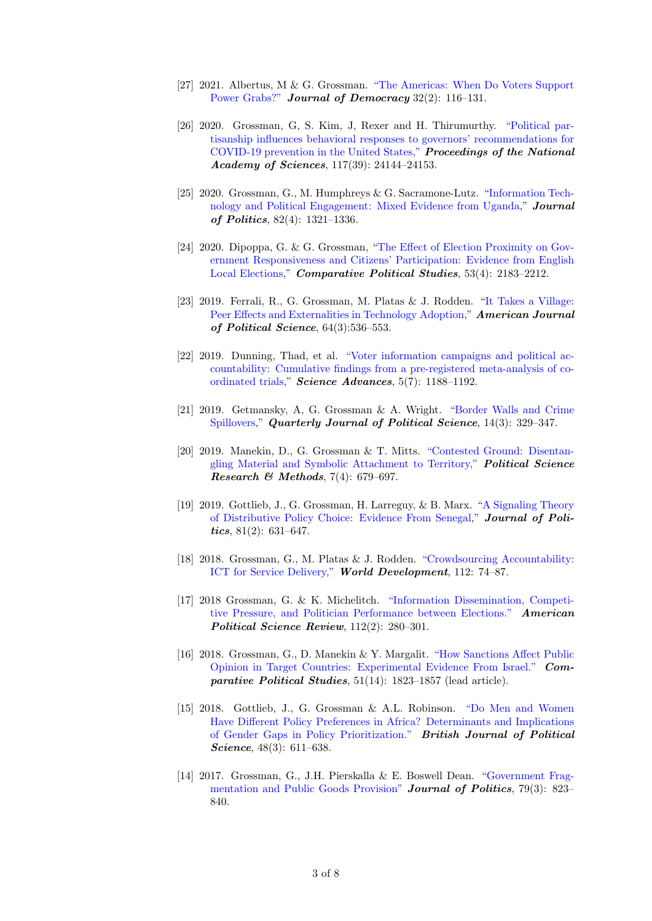- [27] 2021. Albertus, M & G. Grossman. ["The Americas: When Do Voters Support](https://muse.jhu.edu/article/787840) [Power Grabs?"](https://muse.jhu.edu/article/787840) Journal of Democracy 32(2): 116–131.
- [26] 2020. Grossman, G, S. Kim, J, Rexer and H. Thirumurthy. ["Political par](https://www.pnas.org/content/early/2020/09/14/2007835117)[tisanship influences behavioral responses to governors' recommendations for](https://www.pnas.org/content/early/2020/09/14/2007835117) [COVID-19 prevention in the United States,"](https://www.pnas.org/content/early/2020/09/14/2007835117) Proceedings of the National Academy of Sciences, 117(39): 24144-24153.
- [25] 2020. Grossman, G., M. Humphreys & G. Sacramone-Lutz. ["Information Tech](https://www.journals.uchicago.edu/doi/abs/10.1086/708339)[nology and Political Engagement: Mixed Evidence from Uganda,](https://www.journals.uchicago.edu/doi/abs/10.1086/708339)" Journal of Politics, 82(4): 1321–1336.
- [24] 2020. Dipoppa, G. & G. Grossman, ["The Effect of Election Proximity on Gov](https://journals.sagepub.com/doi/full/10.1177/0010414020912290)[ernment Responsiveness and Citizens' Participation: Evidence from English](https://journals.sagepub.com/doi/full/10.1177/0010414020912290) [Local Elections,](https://journals.sagepub.com/doi/full/10.1177/0010414020912290)" Comparative Political Studies, 53(4): 2183–2212.
- [23] 2019. Ferrali, R., G. Grossman, M. Platas & J. Rodden. ["It Takes a Village:](https://onlinelibrary.wiley.com/doi/full/10.1111/ajps.12471?campaign=wolearlyview) [Peer Effects and Externalities in Technology Adoption,](https://onlinelibrary.wiley.com/doi/full/10.1111/ajps.12471?campaign=wolearlyview)" American Journal of Political Science, 64(3):536–553.
- [22] 2019. Dunning, Thad, et al. ["Voter information campaigns and political ac](https://advances.sciencemag.org/content/5/7/eaaw2612)[countability: Cumulative findings from a pre-registered meta-analysis of co](https://advances.sciencemag.org/content/5/7/eaaw2612)[ordinated trials,](https://advances.sciencemag.org/content/5/7/eaaw2612)" Science Advances, 5(7): 1188–1192.
- [21] 2019. Getmansky, A, G. Grossman & A. Wright. ["Border Walls and Crime](https://www.nowpublishers.com/article/Details/QJPS-18094) [Spillovers,](https://www.nowpublishers.com/article/Details/QJPS-18094)" Quarterly Journal of Political Science, 14(3): 329-347.
- [20] 2019. Manekin, D., G. Grossman & T. Mitts. ["Contested Ground: Disentan](https://bit.ly/2HPdZT3)[gling Material and Symbolic Attachment to Territory,"](https://bit.ly/2HPdZT3) Political Science Research & Methods,  $7(4)$ : 679-697.
- [19] 2019. Gottlieb, J., G. Grossman, H. Larreguy, & B. Marx. ["A Signaling Theory](https://bit.ly/2OUL9WP) [of Distributive Policy Choice: Evidence From Senegal,](https://bit.ly/2OUL9WP)" Journal of Politics,  $81(2): 631-647.$
- [18] 2018. Grossman, G., M. Platas & J. Rodden. ["Crowdsourcing Accountability:](https://bit.ly/2NkW1LT) [ICT for Service Delivery,"](https://bit.ly/2NkW1LT) World Development, 112: 74–87.
- [17] 2018 Grossman, G. & K. Michelitch. ["Information Dissemination, Competi](https://bit.ly/2FTkhR6)[tive Pressure, and Politician Performance between Elections."](https://bit.ly/2FTkhR6) American Political Science Review, 112(2): 280–301.
- [16] 2018. Grossman, G., D. Manekin & Y. Margalit. ["How Sanctions Affect Public](https://doi.org/10.1177/0010414018774370) [Opinion in Target Countries: Experimental Evidence From Israel."](https://doi.org/10.1177/0010414018774370) Comparative Political Studies, 51(14): 1823–1857 (lead article).
- [15] 2018. Gottlieb, J., G. Grossman & A.L. Robinson. ["Do Men and Women](https://bit.ly/2Wo3hvc) [Have Different Policy Preferences in Africa? Determinants and Implications](https://bit.ly/2Wo3hvc) [of Gender Gaps in Policy Prioritization."](https://bit.ly/2Wo3hvc) British Journal of Political Science, 48(3): 611-638.
- [14] 2017. Grossman, G., J.H. Pierskalla & E. Boswell Dean. ["Government Frag](https://bit.ly/2shkmKo)[mentation and Public Goods Provision"](https://bit.ly/2shkmKo) **Journal of Politics**, 79(3): 823– 840.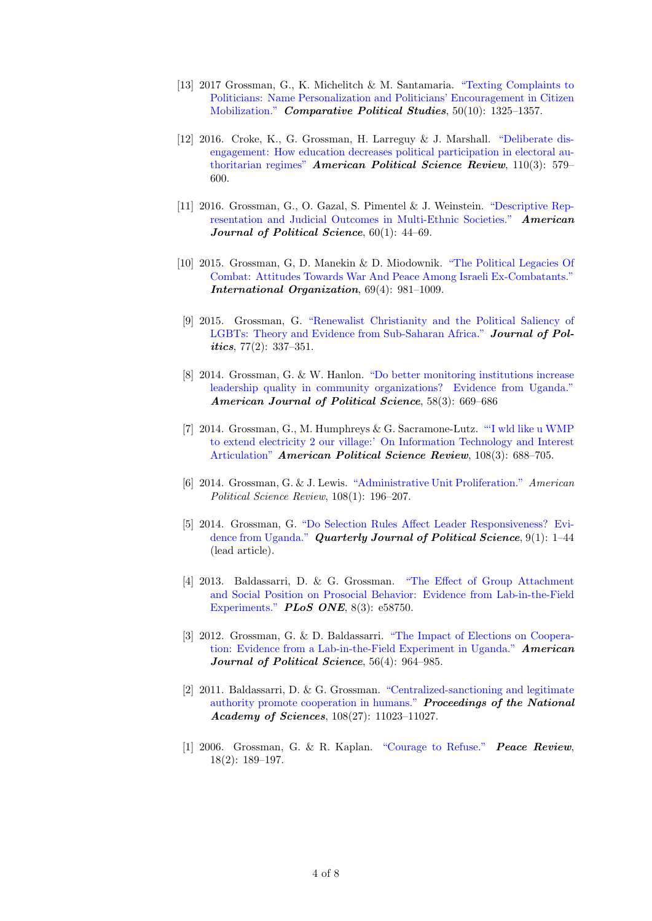- [13] 2017 Grossman, G., K. Michelitch & M. Santamaria. ["Texting Complaints to](https://bit.ly/2o8R3qK) [Politicians: Name Personalization and Politicians' Encouragement in Citizen](https://bit.ly/2o8R3qK) [Mobilization."](https://bit.ly/2o8R3qK) Comparative Political Studies, 50(10): 1325–1357.
- [12] 2016. Croke, K., G. Grossman, H. Larreguy & J. Marshall. ["Deliberate dis](https://bit.ly/2MwSQVg)[engagement: How education decreases political participation in electoral au](https://bit.ly/2MwSQVg)[thoritarian regimes"](https://bit.ly/2MwSQVg) American Political Science Review,  $110(3)$ : 579– 600.
- [11] 2016. Grossman, G., O. Gazal, S. Pimentel & J. Weinstein. ["Descriptive Rep](https://bit.ly/1kP3547)[resentation and Judicial Outcomes in Multi-Ethnic Societies."](https://bit.ly/1kP3547) American Journal of Political Science,  $60(1)$ : 44-69.
- [10] 2015. Grossman, G, D. Manekin & D. Miodownik. ["The Political Legacies Of](https://bit.ly/2IXe7Fq) [Combat: Attitudes Towards War And Peace Among Israeli Ex-Combatants."](https://bit.ly/2IXe7Fq) International Organization, 69(4): 981–1009.
- [9] 2015. Grossman, G. ["Renewalist Christianity and the Political Saliency of](https://bit.ly/2Va3mpE) [LGBTs: Theory and Evidence from Sub-Saharan Africa."](https://bit.ly/2Va3mpE) Journal of Pol*itics*,  $77(2)$ :  $337-351$ .
- [8] 2014. Grossman, G. & W. Hanlon. ["Do better monitoring institutions increase](https://bit.ly/2vBDgMY) [leadership quality in community organizations? Evidence from Uganda."](https://bit.ly/2vBDgMY) American Journal of Political Science, 58(3): 669–686
- [7] 2014. Grossman, G., M. Humphreys & G. Sacramone-Lutz. ["'I wld like u WMP](https://bit.ly/2IX0jdV) [to extend electricity 2 our village:' On Information Technology and Interest](https://bit.ly/2IX0jdV) [Articulation"](https://bit.ly/2IX0jdV) American Political Science Review, 108(3): 688–705.
- [6] 2014. Grossman, G. & J. Lewis. ["Administrative Unit Proliferation."](https://bit.ly/2GYCBvI) American Political Science Review, 108(1): 196–207.
- [5] 2014. Grossman, G. ["Do Selection Rules Affect Leader Responsiveness? Evi](https://bit.ly/2odzSo0)[dence from Uganda."](https://bit.ly/2odzSo0) Quarterly Journal of Political Science, 9(1): 1-44 (lead article).
- [4] 2013. Baldassarri, D. & G. Grossman. ["The Effect of Group Attachment](https://bit.ly/2whorQt) [and Social Position on Prosocial Behavior: Evidence from Lab-in-the-Field](https://bit.ly/2whorQt) [Experiments."](https://bit.ly/2whorQt) PLoS ONE, 8(3): e58750.
- [3] 2012. Grossman, G. & D. Baldassarri. ["The Impact of Elections on Coopera](https://bit.ly/2Y8EuvB)[tion: Evidence from a Lab-in-the-Field Experiment in Uganda."](https://bit.ly/2Y8EuvB) American Journal of Political Science, 56(4): 964-985.
- [2] 2011. Baldassarri, D. & G. Grossman. ["Centralized-sanctioning and legitimate](http://www.pnas.org/content/108/27/11023.short) [authority promote cooperation in humans."](http://www.pnas.org/content/108/27/11023.short) Proceedings of the National Academy of Sciences, 108(27): 11023–11027.
- [1] 2006. Grossman, G. & R. Kaplan. ["Courage to Refuse."](https://www.tandfonline.com/doi/full/10.1080/10402650600692391) Peace Review, 18(2): 189–197.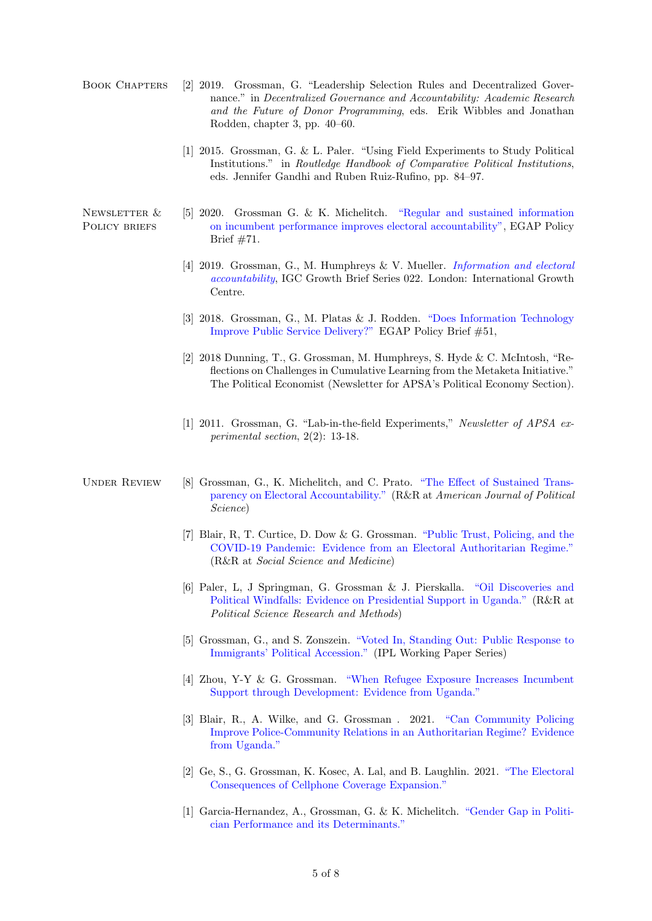- Book Chapters [2] 2019. Grossman, G. "Leadership Selection Rules and Decentralized Governance." in Decentralized Governance and Accountability: Academic Research and the Future of Donor Programming, eds. Erik Wibbles and Jonathan Rodden, chapter 3, pp. 40–60.
	- [1] 2015. Grossman, G. & L. Paler. "Using Field Experiments to Study Political Institutions." in Routledge Handbook of Comparative Political Institutions, eds. Jennifer Gandhi and Ruben Ruiz-Rufino, pp. 84–97.

Newsletter & POLICY BRIEFS

- [5] 2020. Grossman G. & K. Michelitch. ["Regular and sustained information](https://bit.ly/2OFinh1) [on incumbent performance improves electoral accountability",](https://bit.ly/2OFinh1) EGAP Policy Brief #71.
- [4] 2019. Grossman, G., M. Humphreys & V. Mueller. *[Information and electoral](https://www.theigc.org/publication/information-and-electoral-accountability/)* [accountability](https://www.theigc.org/publication/information-and-electoral-accountability/), IGC Growth Brief Series 022. London: International Growth Centre.
- [3] 2018. Grossman, G., M. Platas & J. Rodden. ["Does Information Technology](https://bit.ly/3uKip6U) [Improve Public Service Delivery?"](https://bit.ly/3uKip6U) EGAP Policy Brief #51,
- [2] 2018 Dunning, T., G. Grossman, M. Humphreys, S. Hyde & C. McIntosh, "Reflections on Challenges in Cumulative Learning from the Metaketa Initiative." The Political Economist (Newsletter for APSA's Political Economy Section).
- [1] 2011. Grossman, G. "Lab-in-the-field Experiments," Newsletter of APSA experimental section, 2(2): 13-18.

- UNDER REVIEW [8] Grossman, G., K. Michelitch, and C. Prato. ["The Effect of Sustained Trans](https://osf.io/qwcek/)[parency on Electoral Accountability."](https://osf.io/qwcek/) (R&R at American Journal of Political Science)
	- [7] Blair, R, T. Curtice, D. Dow & G. Grossman. ["Public Trust, Policing, and the](https://escholarship.org/uc/item/2cg6x58q) [COVID-19 Pandemic: Evidence from an Electoral Authoritarian Regime."](https://escholarship.org/uc/item/2cg6x58q) (R&R at Social Science and Medicine)
	- [6] Paler, L, J Springman, G. Grossman & J. Pierskalla. ["Oil Discoveries and](https://osf.io/3j4rx/) [Political Windfalls: Evidence on Presidential Support in Uganda."](https://osf.io/3j4rx/) (R&R at Political Science Research and Methods)
	- [5] Grossman, G., and S. Zonszein. ["Voted In, Standing Out: Public Response to](https://osf.io/xd4wk/) [Immigrants' Political Accession."](https://osf.io/xd4wk/) (IPL Working Paper Series)
	- [4] Zhou, Y-Y & G. Grossman. ["When Refugee Exposure Increases Incumbent](https://osf.io/94tpy/) [Support through Development: Evidence from Uganda."](https://osf.io/94tpy/)
	- [3] Blair, R., A. Wilke, and G. Grossman . 2021. ["Can Community Policing](https://osf.io/wkrcm/) [Improve Police-Community Relations in an Authoritarian Regime? Evidence](https://osf.io/wkrcm/) [from Uganda."](https://osf.io/wkrcm/)
	- [2] Ge, S., G. Grossman, K. Kosec, A. Lal, and B. Laughlin. 2021. ["The Electoral](https://osf.io/y94d5/) [Consequences of Cellphone Coverage Expansion."](https://osf.io/y94d5/)
	- [1] Garcia-Hernandez, A., Grossman, G. & K. Michelitch. ["Gender Gap in Politi](https://guygrossman.com/assest/pdf/workingpaper_gender_gap.pdf)[cian Performance and its Determinants."](https://guygrossman.com/assest/pdf/workingpaper_gender_gap.pdf)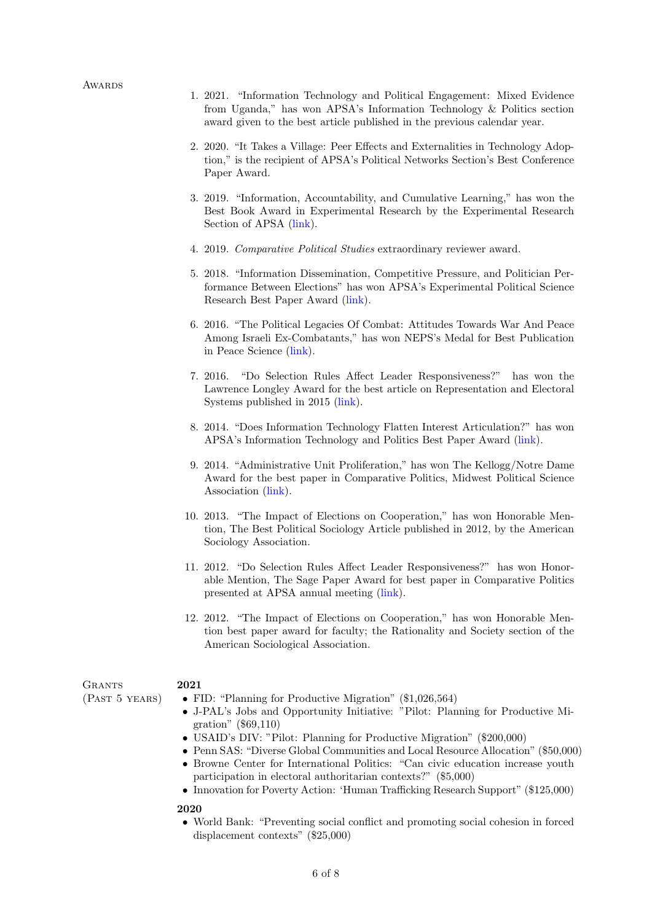- 1. 2021. "Information Technology and Political Engagement: Mixed Evidence from Uganda," has won APSA's Information Technology & Politics section award given to the best article published in the previous calendar year.
- 2. 2020. "It Takes a Village: Peer Effects and Externalities in Technology Adoption," is the recipient of APSA's Political Networks Section's Best Conference Paper Award.
- 3. 2019. "Information, Accountability, and Cumulative Learning," has won the Best Book Award in Experimental Research by the Experimental Research Section of APSA [\(link\)](https://connect.apsanet.org/s42/best-book-published-in-2019-2/).
- 4. 2019. Comparative Political Studies extraordinary reviewer award.
- 5. 2018. "Information Dissemination, Competitive Pressure, and Politician Performance Between Elections" has won APSA's Experimental Political Science Research Best Paper Award [\(link\)](https://connect.apsanet.org/s42/awards/).
- 6. 2016. "The Political Legacies Of Combat: Attitudes Towards War And Peace Among Israeli Ex-Combatants," has won NEPS's Medal for Best Publication in Peace Science [\(link\)](http://www.europeanpeacescientists.org/medal.html).
- 7. 2016. "Do Selection Rules Affect Leader Responsiveness?" has won the Lawrence Longley Award for the best article on Representation and Electoral Systems published in 2015 [\(link\)](http://www.apsanet.org/section-8-Lawrence-Longley-Award).
- 8. 2014. "Does Information Technology Flatten Interest Articulation?" has won APSA's Information Technology and Politics Best Paper Award [\(link\)](http://www.apsanet.org/section-18-best-conference-paper-award).
- 9. 2014. "Administrative Unit Proliferation," has won The Kellogg/Notre Dame Award for the best paper in Comparative Politics, Midwest Political Science Association [\(link\)](http://www.mpsanet.org/Professional-Development/Awards-Call-for-Nominations/Award-Recipients-2014).
- 10. 2013. "The Impact of Elections on Cooperation," has won Honorable Mention, The Best Political Sociology Article published in 2012, by the American Sociology Association.
- 11. 2012. "Do Selection Rules Affect Leader Responsiveness?" has won Honorable Mention, The Sage Paper Award for best paper in Comparative Politics presented at APSA annual meeting [\(link\)](http://www.apsanet.org/section-20-sage-best-paper-award).
- 12. 2012. "The Impact of Elections on Cooperation," has won Honorable Mention best paper award for faculty; the Rationality and Society section of the American Sociological Association.

**GRANTS** (Past 5 years)

#### 2021

- FID: "Planning for Productive Migration" (\$1,026,564)
- J-PAL's Jobs and Opportunity Initiative: "Pilot: Planning for Productive Migration" (\$69,110)
- USAID's DIV: "Pilot: Planning for Productive Migration" (\$200,000)
- Penn SAS: "Diverse Global Communities and Local Resource Allocation" (\$50,000)
- Browne Center for International Politics: "Can civic education increase youth participation in electoral authoritarian contexts?" (\$5,000)
- Innovation for Poverty Action: 'Human Trafficking Research Support" (\$125,000)

#### 2020

• World Bank: "Preventing social conflict and promoting social cohesion in forced displacement contexts" (\$25,000)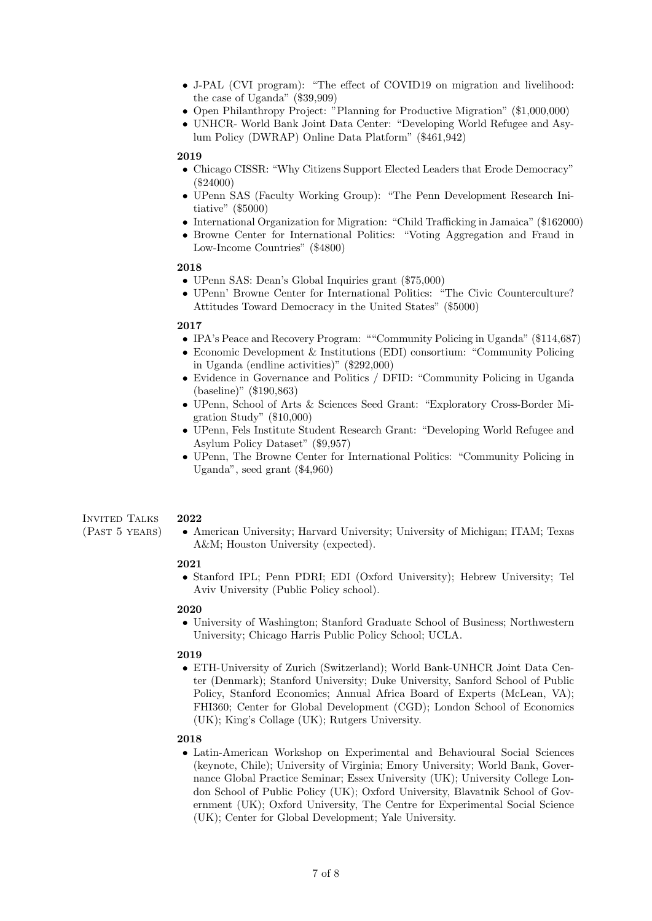- J-PAL (CVI program): "The effect of COVID19 on migration and livelihood: the case of Uganda" (\$39,909)
- Open Philanthropy Project: "Planning for Productive Migration" (\$1,000,000)
- UNHCR- World Bank Joint Data Center: "Developing World Refugee and Asylum Policy (DWRAP) Online Data Platform" (\$461,942)

#### 2019

- Chicago CISSR: "Why Citizens Support Elected Leaders that Erode Democracy" (\$24000)
- UPenn SAS (Faculty Working Group): "The Penn Development Research Initiative" (\$5000)
- International Organization for Migration: "Child Trafficking in Jamaica" (\$162000)
- Browne Center for International Politics: "Voting Aggregation and Fraud in Low-Income Countries" (\$4800)

#### 2018

- UPenn SAS: Dean's Global Inquiries grant (\$75,000)
- UPenn' Browne Center for International Politics: "The Civic Counterculture? Attitudes Toward Democracy in the United States" (\$5000)

#### 2017

- IPA's Peace and Recovery Program: ""Community Policing in Uganda" (\$114,687)
- Economic Development & Institutions (EDI) consortium: "Community Policing in Uganda (endline activities)" (\$292,000)
- Evidence in Governance and Politics / DFID: "Community Policing in Uganda (baseline)" (\$190,863)
- UPenn, School of Arts & Sciences Seed Grant: "Exploratory Cross-Border Migration Study" (\$10,000)
- UPenn, Fels Institute Student Research Grant: "Developing World Refugee and Asylum Policy Dataset" (\$9,957)
- UPenn, The Browne Center for International Politics: "Community Policing in Uganda", seed grant (\$4,960)

#### Invited Talks 2022

(Past 5 years)

• American University; Harvard University; University of Michigan; ITAM; Texas A&M; Houston University (expected).

#### 2021

• Stanford IPL; Penn PDRI; EDI (Oxford University); Hebrew University; Tel Aviv University (Public Policy school).

### 2020

• University of Washington; Stanford Graduate School of Business; Northwestern University; Chicago Harris Public Policy School; UCLA.

#### 2019

• ETH-University of Zurich (Switzerland); World Bank-UNHCR Joint Data Center (Denmark); Stanford University; Duke University, Sanford School of Public Policy, Stanford Economics; Annual Africa Board of Experts (McLean, VA); FHI360; Center for Global Development (CGD); London School of Economics (UK); King's Collage (UK); Rutgers University.

#### 2018

• Latin-American Workshop on Experimental and Behavioural Social Sciences (keynote, Chile); University of Virginia; Emory University; World Bank, Governance Global Practice Seminar; Essex University (UK); University College London School of Public Policy (UK); Oxford University, Blavatnik School of Government (UK); Oxford University, The Centre for Experimental Social Science (UK); Center for Global Development; Yale University.